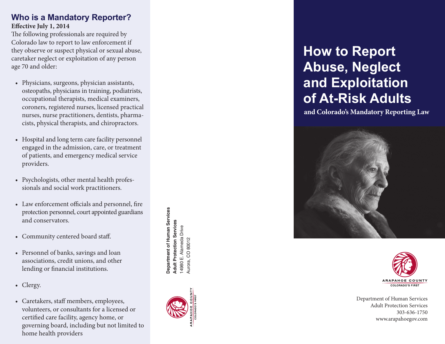#### **Who is a Mandatory Reporter? Effective July 1, 2014**

The following professionals are required by Colorado law to report to law enforcement if they observe or suspect physical or sexual abuse, caretaker neglect or exploitation of any person age 70 and older:

- • Physicians, surgeons, physician assistants, osteopaths, physicians in training, podiatrists, occupational therapists, medical examiners, coroners, registered nurses, licensed practical nurses, nurse practitioners, dentists, pharma cists, physical therapists, and chiropractors.
- Hospital and long term care facility personnel engaged in the admission, care, or treatment of patients, and emergency medical service providers.
- • Psychologists, other mental health profes sionals and social work practitioners.
- • Law enforcement officials and personnel, fire protection personnel, court appointed guardians and conservators.
- Community centered board staff.
- Personnel of banks, savings and loan associations, credit unions, and other lending or financial institutions.
- Clergy.
- • Caretakers, staff members, employees, volunteers, or consultants for a licensed or certified care facility, agency home, or governing board, including but not limited to home health providers

Department of Human Services **Department of Human Services Adult Protection Services Adult Protection Services** 4980 E. Alameda Drive 14980 E. Alameda Drive Aurora, CO 80012 Aurora, CO 80012



# **How to Report Abuse, Neglect and Exploitation of At-Risk Adults**

**and Colorado's Mandatory Reporting Law**





Department of Human Services Adult Protection Services 303-636-1750 www.arapahoegov.com